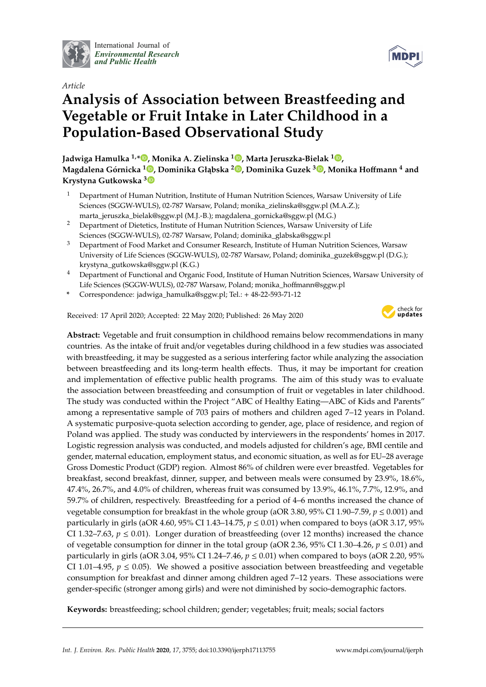

International Journal of *[Environmental Research](http://www.mdpi.com/journal/ijerph) and Public Health*

## *Article*

# **Analysis of Association between Breastfeeding and Vegetable or Fruit Intake in Later Childhood in a Population-Based Observational Study**

**Jadwiga Hamulka 1,[\\*](https://orcid.org/0000-0003-4933-9016) , Monika A. Zielinska <sup>1</sup> [,](https://orcid.org/0000-0001-8894-6746) Marta Jeruszka-Bielak <sup>1</sup> [,](https://orcid.org/0000-0002-1269-368X) Magdalena Górnicka [1](https://orcid.org/0000-0002-8805-186X) , Dominika Gł ˛abska <sup>2</sup> [,](https://orcid.org/0000-0001-8588-7357) Dominika Guzek <sup>3</sup> [,](https://orcid.org/0000-0002-0784-3604) Monika Ho**ff**mann <sup>4</sup> and Krystyna Gutkowska [3](https://orcid.org/0000-0002-0873-8478)**

- <sup>1</sup> Department of Human Nutrition, Institute of Human Nutrition Sciences, Warsaw University of Life Sciences (SGGW-WULS), 02-787 Warsaw, Poland; monika\_zielinska@sggw.pl (M.A.Z.); marta\_jeruszka\_bielak@sggw.pl (M.J.-B.); magdalena\_gornicka@sggw.pl (M.G.)
- <sup>2</sup> Department of Dietetics, Institute of Human Nutrition Sciences, Warsaw University of Life Sciences (SGGW-WULS), 02-787 Warsaw, Poland; dominika\_glabska@sggw.pl
- <sup>3</sup> Department of Food Market and Consumer Research, Institute of Human Nutrition Sciences, Warsaw University of Life Sciences (SGGW-WULS), 02-787 Warsaw, Poland; dominika\_guzek@sggw.pl (D.G.); krystyna\_gutkowska@sggw.pl (K.G.)
- <sup>4</sup> Department of Functional and Organic Food, Institute of Human Nutrition Sciences, Warsaw University of Life Sciences (SGGW-WULS), 02-787 Warsaw, Poland; monika\_hoffmann@sggw.pl
- **\*** Correspondence: jadwiga\_hamulka@sggw.pl; Tel.: + 48-22-593-71-12

Received: 17 April 2020; Accepted: 22 May 2020; Published: 26 May 2020



**Abstract:** Vegetable and fruit consumption in childhood remains below recommendations in many countries. As the intake of fruit and/or vegetables during childhood in a few studies was associated with breastfeeding, it may be suggested as a serious interfering factor while analyzing the association between breastfeeding and its long-term health effects. Thus, it may be important for creation and implementation of effective public health programs. The aim of this study was to evaluate the association between breastfeeding and consumption of fruit or vegetables in later childhood. The study was conducted within the Project "ABC of Healthy Eating—ABC of Kids and Parents" among a representative sample of 703 pairs of mothers and children aged 7–12 years in Poland. A systematic purposive-quota selection according to gender, age, place of residence, and region of Poland was applied. The study was conducted by interviewers in the respondents' homes in 2017. Logistic regression analysis was conducted, and models adjusted for children's age, BMI centile and gender, maternal education, employment status, and economic situation, as well as for EU–28 average Gross Domestic Product (GDP) region. Almost 86% of children were ever breastfed. Vegetables for breakfast, second breakfast, dinner, supper, and between meals were consumed by 23.9%, 18.6%, 47.4%, 26.7%, and 4.0% of children, whereas fruit was consumed by 13.9%, 46.1%, 7.7%, 12.9%, and 59.7% of children, respectively. Breastfeeding for a period of 4–6 months increased the chance of vegetable consumption for breakfast in the whole group (aOR 3.80, 95% CI 1.90–7.59,  $p \le 0.001$ ) and particularly in girls (aOR 4.60, 95% CI 1.43–14.75,  $p \le 0.01$ ) when compared to boys (aOR 3.17, 95% CI 1.32–7.63,  $p \le 0.01$ ). Longer duration of breastfeeding (over 12 months) increased the chance of vegetable consumption for dinner in the total group (aOR 2.36, 95% CI 1.30–4.26,  $p \le 0.01$ ) and particularly in girls (aOR 3.04, 95% CI 1.24–7.46,  $p \le 0.01$ ) when compared to boys (aOR 2.20, 95% CI 1.01–4.95,  $p \le 0.05$ ). We showed a positive association between breastfeeding and vegetable consumption for breakfast and dinner among children aged 7–12 years. These associations were gender-specific (stronger among girls) and were not diminished by socio-demographic factors.

**Keywords:** breastfeeding; school children; gender; vegetables; fruit; meals; social factors

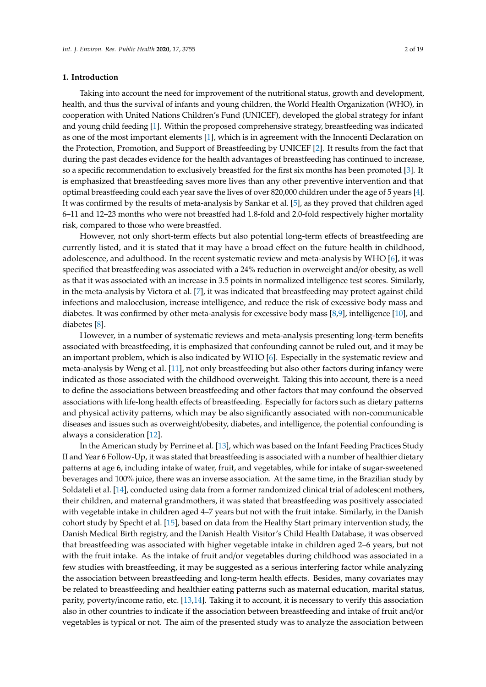#### **1. Introduction**

Taking into account the need for improvement of the nutritional status, growth and development, health, and thus the survival of infants and young children, the World Health Organization (WHO), in cooperation with United Nations Children's Fund (UNICEF), developed the global strategy for infant and young child feeding [\[1\]](#page-16-0). Within the proposed comprehensive strategy, breastfeeding was indicated as one of the most important elements [\[1\]](#page-16-0), which is in agreement with the Innocenti Declaration on the Protection, Promotion, and Support of Breastfeeding by UNICEF [\[2\]](#page-16-1). It results from the fact that during the past decades evidence for the health advantages of breastfeeding has continued to increase, so a specific recommendation to exclusively breastfed for the first six months has been promoted [\[3\]](#page-16-2). It is emphasized that breastfeeding saves more lives than any other preventive intervention and that optimal breastfeeding could each year save the lives of over 820,000 children under the age of 5 years [\[4\]](#page-16-3). It was confirmed by the results of meta-analysis by Sankar et al. [\[5\]](#page-16-4), as they proved that children aged 6–11 and 12–23 months who were not breastfed had 1.8-fold and 2.0-fold respectively higher mortality risk, compared to those who were breastfed.

However, not only short-term effects but also potential long-term effects of breastfeeding are currently listed, and it is stated that it may have a broad effect on the future health in childhood, adolescence, and adulthood. In the recent systematic review and meta-analysis by WHO [\[6\]](#page-16-5), it was specified that breastfeeding was associated with a 24% reduction in overweight and/or obesity, as well as that it was associated with an increase in 3.5 points in normalized intelligence test scores. Similarly, in the meta-analysis by Victora et al. [\[7\]](#page-17-0), it was indicated that breastfeeding may protect against child infections and malocclusion, increase intelligence, and reduce the risk of excessive body mass and diabetes. It was confirmed by other meta-analysis for excessive body mass [\[8,](#page-17-1)[9\]](#page-17-2), intelligence [\[10\]](#page-17-3), and diabetes [\[8\]](#page-17-1).

However, in a number of systematic reviews and meta-analysis presenting long-term benefits associated with breastfeeding, it is emphasized that confounding cannot be ruled out, and it may be an important problem, which is also indicated by WHO [\[6\]](#page-16-5). Especially in the systematic review and meta-analysis by Weng et al. [\[11\]](#page-17-4), not only breastfeeding but also other factors during infancy were indicated as those associated with the childhood overweight. Taking this into account, there is a need to define the associations between breastfeeding and other factors that may confound the observed associations with life-long health effects of breastfeeding. Especially for factors such as dietary patterns and physical activity patterns, which may be also significantly associated with non-communicable diseases and issues such as overweight/obesity, diabetes, and intelligence, the potential confounding is always a consideration [\[12\]](#page-17-5).

In the American study by Perrine et al. [\[13\]](#page-17-6), which was based on the Infant Feeding Practices Study II and Year 6 Follow-Up, it was stated that breastfeeding is associated with a number of healthier dietary patterns at age 6, including intake of water, fruit, and vegetables, while for intake of sugar-sweetened beverages and 100% juice, there was an inverse association. At the same time, in the Brazilian study by Soldateli et al. [\[14\]](#page-17-7), conducted using data from a former randomized clinical trial of adolescent mothers, their children, and maternal grandmothers, it was stated that breastfeeding was positively associated with vegetable intake in children aged 4–7 years but not with the fruit intake. Similarly, in the Danish cohort study by Specht et al. [\[15\]](#page-17-8), based on data from the Healthy Start primary intervention study, the Danish Medical Birth registry, and the Danish Health Visitor's Child Health Database, it was observed that breastfeeding was associated with higher vegetable intake in children aged 2–6 years, but not with the fruit intake. As the intake of fruit and/or vegetables during childhood was associated in a few studies with breastfeeding, it may be suggested as a serious interfering factor while analyzing the association between breastfeeding and long-term health effects. Besides, many covariates may be related to breastfeeding and healthier eating patterns such as maternal education, marital status, parity, poverty/income ratio, etc. [\[13](#page-17-6)[,14\]](#page-17-7). Taking it to account, it is necessary to verify this association also in other countries to indicate if the association between breastfeeding and intake of fruit and/or vegetables is typical or not. The aim of the presented study was to analyze the association between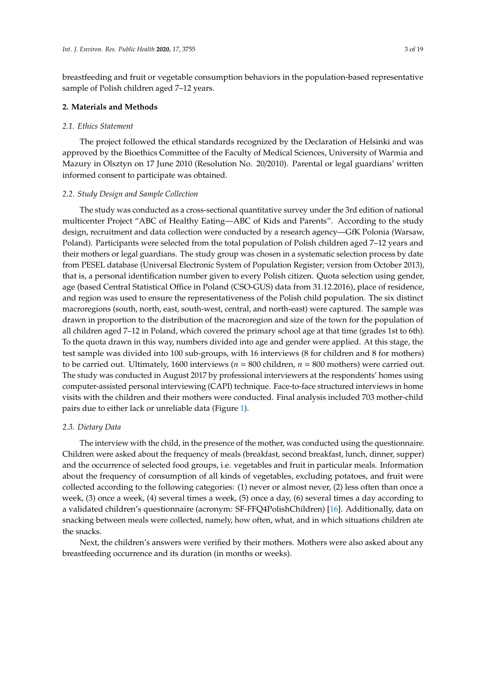breastfeeding and fruit or vegetable consumption behaviors in the population-based representative sample of Polish children aged 7–12 years.

#### **2. Materials and Methods**

#### *2.1. Ethics Statement*

The project followed the ethical standards recognized by the Declaration of Helsinki and was approved by the Bioethics Committee of the Faculty of Medical Sciences, University of Warmia and Mazury in Olsztyn on 17 June 2010 (Resolution No. 20/2010). Parental or legal guardians' written informed consent to participate was obtained.

#### *2.2. Study Design and Sample Collection*

The study was conducted as a cross-sectional quantitative survey under the 3rd edition of national multicenter Project "ABC of Healthy Eating—ABC of Kids and Parents". According to the study design, recruitment and data collection were conducted by a research agency—GfK Polonia (Warsaw, Poland). Participants were selected from the total population of Polish children aged 7–12 years and their mothers or legal guardians. The study group was chosen in a systematic selection process by date from PESEL database (Universal Electronic System of Population Register; version from October 2013), that is, a personal identification number given to every Polish citizen. Quota selection using gender, age (based Central Statistical Office in Poland (CSO-GUS) data from 31.12.2016), place of residence, and region was used to ensure the representativeness of the Polish child population. The six distinct macroregions (south, north, east, south-west, central, and north-east) were captured. The sample was drawn in proportion to the distribution of the macroregion and size of the town for the population of all children aged 7–12 in Poland, which covered the primary school age at that time (grades 1st to 6th). To the quota drawn in this way, numbers divided into age and gender were applied. At this stage, the test sample was divided into 100 sub-groups, with 16 interviews (8 for children and 8 for mothers) to be carried out. Ultimately, 1600 interviews ( $n = 800$  children,  $n = 800$  mothers) were carried out. The study was conducted in August 2017 by professional interviewers at the respondents' homes using computer-assisted personal interviewing (CAPI) technique. Face-to-face structured interviews in home visits with the children and their mothers were conducted. Final analysis included 703 mother-child pairs due to either lack or unreliable data (Figure [1\)](#page-3-0).

#### *2.3. Dietary Data*

The interview with the child, in the presence of the mother, was conducted using the questionnaire. Children were asked about the frequency of meals (breakfast, second breakfast, lunch, dinner, supper) and the occurrence of selected food groups, i.e. vegetables and fruit in particular meals. Information about the frequency of consumption of all kinds of vegetables, excluding potatoes, and fruit were collected according to the following categories: (1) never or almost never, (2) less often than once a week, (3) once a week, (4) several times a week, (5) once a day, (6) several times a day according to a validated children's questionnaire (acronym: SF-FFQ4PolishChildren) [\[16\]](#page-17-9). Additionally, data on snacking between meals were collected, namely, how often, what, and in which situations children ate the snacks.

Next, the children's answers were verified by their mothers. Mothers were also asked about any breastfeeding occurrence and its duration (in months or weeks).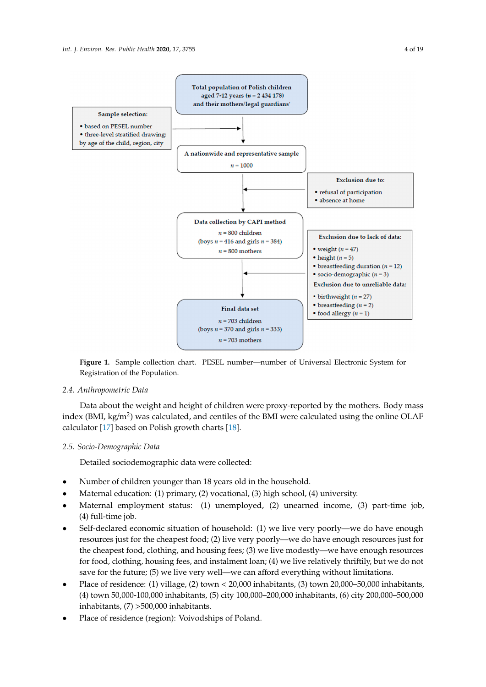<span id="page-3-0"></span>

• food allergy  $(n = 1)$ 

(boys  $n = 370$  and girls  $n = 333$ )  $n = 703$  mothers

**Figure 1.**  $\frac{1}{2}$  considered contained collection characteristics of the Departement of Universal Electronic System for  $\frac{1}{2}$ Registration of the Population**.**  Registration of the Population. **Figure 1.** Sample collection chart. PESEL number—number of Universal Electronic System for

 $n = 703$  children

## *2.4. Anthropometric Data*

*2.3. Dietary Data*  index (BMI, kg/m<sup>2</sup>) was calculated, and centiles of the BMI were calculated using the online OLAF calculator [\[17\]](#page-17-10) based on Polish growth charts [\[18\]](#page-17-11). Data about the weight and height of children were proxy-reported by the mothers. Body mass

# meals. Information about the frequency of consumption of all kinds of vegetables, excluding potatoes, *2.5. Socio-Demographic Data*

Detailed sociodemographic data were collected: (2) never, (2) less often in almost never or almost never or almost never  $\alpha$  $\frac{1}{\sqrt{3}}$  once a week, (3) once a week, (5) several times a week, (5) once a day, (6) several times a day, (6) several times a day, (6) several times a day, (6) several times a day, (6) several times a day, (6) several

- Number of children younger than 18 years old in the household.
- Maternal education: (1) primary, (2) vocational, (3) high school, (4) university.
- Maternal employment status: (1) unemployed, (2) unearned income, (3) part-time job, (4) full-time job. Were verified by the children's were also asked about any  $\frac{1}{2}$
- Self-declared economic situation of household: (1) we live very poorly—we do have enough the cheapest food, clothing, and housing fees; (3) we live modestly—we have enough resources for food, clothing, housing fees, and instalment loan; (4) we live relatively thriftily, but we do not save for the future; (5) we live very well—we can afford everything without limitations. resources just for the cheapest food; (2) live very poorly—we do have enough resources just for
- Place of residence: (1) village, (2) town <  $20,000$  inhabitants, (3) town 20,000–50,000 inhabitants, *2.5. Socio-Demographic Data*  inhabitants, (7) >500,000 inhabitants. (4) town 50,000-100,000 inhabitants, (5) city 100,000–200,000 inhabitants, (6) city 200,000–500,000
- Place of residence (region): Voivodships of Poland.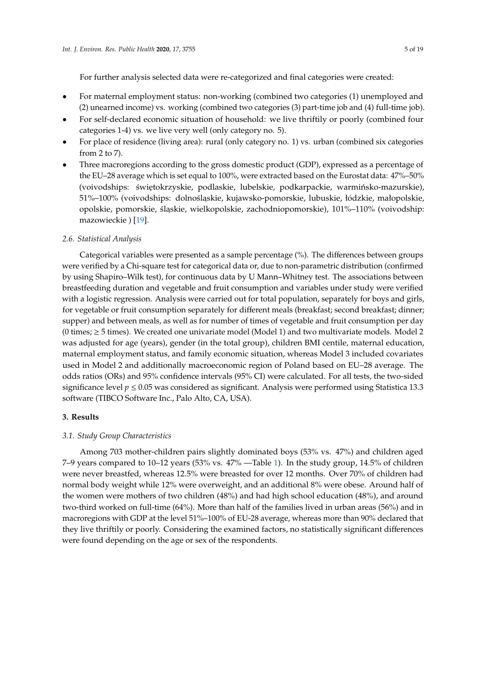For further analysis selected data were re-categorized and final categories were created:

- For maternal employment status: non-working (combined two categories (1) unemployed and (2) unearned income) vs. working (combined two categories (3) part-time job and (4) full-time job).
- For self-declared economic situation of household: we live thriftily or poorly (combined four categories 1-4) vs. we live very well (only category no. 5).
- For place of residence (living area): rural (only category no. 1) vs. urban (combined six categories from 2 to 7).
- Three macroregions according to the gross domestic product (GDP), expressed as a percentage of the EU–28 average which is set equal to 100%, were extracted based on the Eurostat data: 47%–50% (voivodships: świętokrzyskie, podlaskie, lubelskie, podkarpackie, warmińsko-mazurskie), 51%–100% (voivodships: dolnośląskie, kujawsko-pomorskie, lubuskie, łódzkie, małopolskie, opolskie, pomorskie, śląskie, wielkopolskie, zachodniopomorskie), 101%–110% (voivodship: mazowieckie ) [\[19\]](#page-17-12).

#### *2.6. Statistical Analysis*

Categorical variables were presented as a sample percentage (%). The differences between groups were verified by a Chi-square test for categorical data or, due to non-parametric distribution (confirmed by using Shapiro–Wilk test), for continuous data by U Mann–Whitney test. The associations between breastfeeding duration and vegetable and fruit consumption and variables under study were verified with a logistic regression. Analysis were carried out for total population, separately for boys and girls, for vegetable or fruit consumption separately for different meals (breakfast; second breakfast; dinner; supper) and between meals, as well as for number of times of vegetable and fruit consumption per day (0 times;  $\geq$  5 times). We created one univariate model (Model 1) and two multivariate models. Model 2 was adjusted for age (years), gender (in the total group), children BMI centile, maternal education, maternal employment status, and family economic situation, whereas Model 3 included covariates used in Model 2 and additionally macroeconomic region of Poland based on EU–28 average. The odds ratios (ORs) and 95% confidence intervals (95% CI) were calculated. For all tests, the two-sided significance level  $p \le 0.05$  was considered as significant. Analysis were performed using Statistica 13.3 software (TIBCO Software Inc., Palo Alto, CA, USA).

#### **3. Results**

#### *3.1. Study Group Characteristics*

Among 703 mother-children pairs slightly dominated boys (53% vs. 47%) and children aged 7–9 years compared to 10–12 years (53% vs. 47% —Table [1\)](#page-6-0). In the study group, 14.5% of children were never breastfed, whereas 12.5% were breasted for over 12 months. Over 70% of children had normal body weight while 12% were overweight, and an additional 8% were obese. Around half of the women were mothers of two children (48%) and had high school education (48%), and around two-third worked on full-time (64%). More than half of the families lived in urban areas (56%) and in macroregions with GDP at the level 51%–100% of EU-28 average, whereas more than 90% declared that they live thriftily or poorly. Considering the examined factors, no statistically significant differences were found depending on the age or sex of the respondents.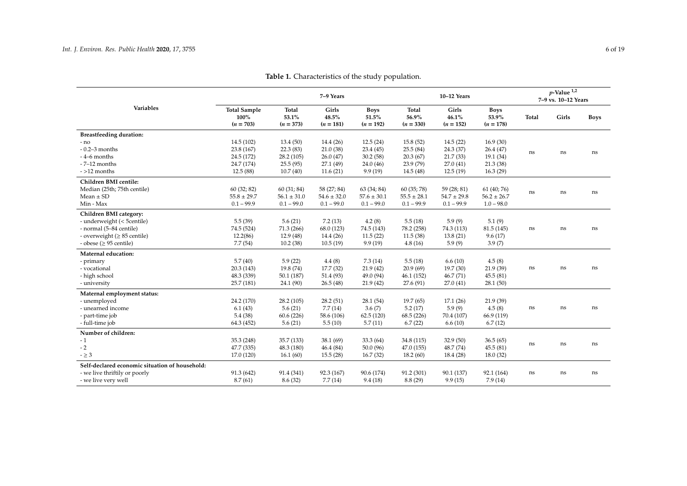|                                                |                                            |                                      | 7-9 Years                     |                                     |                                      | 10-12 Years                   |                                     |          | $p$ -Value $^{1,2}$<br>7-9 vs. 10-12 Years |             |
|------------------------------------------------|--------------------------------------------|--------------------------------------|-------------------------------|-------------------------------------|--------------------------------------|-------------------------------|-------------------------------------|----------|--------------------------------------------|-------------|
| <b>Variables</b>                               | <b>Total Sample</b><br>100%<br>$(n = 703)$ | <b>Total</b><br>53.1%<br>$(n = 373)$ | Girls<br>48.5%<br>$(n = 181)$ | <b>Boys</b><br>51.5%<br>$(n = 192)$ | <b>Total</b><br>56.9%<br>$(n = 330)$ | Girls<br>46.1%<br>$(n = 152)$ | <b>Boys</b><br>53.9%<br>$(n = 178)$ | Total    | Girls                                      | <b>Boys</b> |
| <b>Breastfeeding duration:</b>                 |                                            |                                      |                               |                                     |                                      |                               |                                     |          |                                            |             |
| - no                                           | 14.5(102)                                  | 13.4(50)                             | 14.4(26)                      | 12.5(24)                            | 15.8(52)                             | 14.5(22)                      | 16.9(30)                            |          |                                            |             |
| $-0.2-3$ months                                | 23.8 (167)                                 | 22.3(83)                             | 21.0(38)                      | 23.4(45)                            | 25.5(84)                             | 24.3(37)                      | 26.4(47)                            | ns       | ns                                         | ns          |
| $-4-6$ months                                  | 24.5 (172)                                 | 28.2 (105)                           | 26.0(47)                      | 30.2(58)                            | 20.3(67)                             | 21.7(33)                      | 19.1(34)                            |          |                                            |             |
| $-7-12$ months                                 | 24.7 (174)                                 | 25.5(95)                             | 27.1(49)                      | 24.0(46)                            | 23.9 (79)                            | 27.0(41)                      | 21.3(38)                            |          |                                            |             |
| $-$ >12 months                                 | 12.5(88)                                   | 10.7(40)                             | 11.6(21)                      | 9.9(19)                             | 14.5(48)                             | 12.5(19)                      | 16.3(29)                            |          |                                            |             |
| Children BMI centile:                          |                                            |                                      |                               |                                     |                                      |                               |                                     |          |                                            |             |
| Median (25th; 75th centile)                    | 60(32; 82)                                 | 60(31; 84)                           | 58 (27; 84)                   | 63 (34; 84)                         | 60 (35; 78)                          | 59 (28; 81)                   | 61 (40; 76)                         |          |                                            |             |
| Mean $\pm$ SD                                  | $55.8 \pm 29.7$                            | $56.1 \pm 31.0$                      | $54.6 \pm 32.0$               | $57.6 \pm 30.1$                     | $55.5 \pm 28.1$                      | $54.7 \pm 29.8$               | $56.2 \pm 26.7$                     | ns       | ns                                         | ns          |
| Min - Max                                      | $0.1 - 99.9$                               | $0.1 - 99.0$                         | $0.1 - 99.0$                  | $0.1 - 99.0$                        | $0.1 - 99.9$                         | $0.1 - 99.9$                  | $1.0 - 98.0$                        |          |                                            |             |
| Children BMI category:                         |                                            |                                      |                               |                                     |                                      |                               |                                     |          |                                            |             |
| - underweight (< 5centile)                     | 5.5(39)                                    | 5.6(21)                              | 7.2(13)                       | 4.2(8)                              | 5.5(18)                              | 5.9(9)                        | 5.1(9)                              |          |                                            |             |
| - normal (5-84 centile)                        | 74.5 (524)                                 | 71.3(266)                            | 68.0 (123)                    | 74.5 (143)                          | 78.2 (258)                           | 74.3 (113)                    | 81.5(145)                           | $\rm ns$ | ns                                         | ns          |
| - overweight (≥ 85 centile)                    | 12.2(86)                                   | 12.9(48)                             | 14.4(26)                      | 11.5(22)                            | 11.5(38)                             | 13.8(21)                      | 9.6(17)                             |          |                                            |             |
| - obese ( $\geq$ 95 centile)                   | 7.7(54)                                    | 10.2(38)                             | 10.5(19)                      | 9.9(19)                             | 4.8(16)                              | 5.9(9)                        | 3.9(7)                              |          |                                            |             |
| Maternal education:                            |                                            |                                      |                               |                                     |                                      |                               |                                     |          |                                            |             |
| - primary                                      | 5.7(40)                                    | 5.9(22)                              | 4.4(8)                        | 7.3(14)                             | 5.5(18)                              | 6.6(10)                       | 4.5(8)                              |          |                                            |             |
| - vocational                                   | 20.3(143)                                  | 19.8 (74)                            | 17.7(32)                      | 21.9(42)                            | 20.9(69)                             | 19.7(30)                      | 21.9(39)                            | $\rm ns$ | ns                                         | ns          |
| - high school                                  | 48.3 (339)                                 | 50.1 (187)                           | 51.4(93)                      | 49.0 (94)                           | 46.1(152)                            | 46.7(71)                      | 45.5(81)                            |          |                                            |             |
| - university                                   | 25.7 (181)                                 | 24.1 (90)                            | 26.5(48)                      | 21.9(42)                            | 27.6 (91)                            | 27.0(41)                      | 28.1(50)                            |          |                                            |             |
| Maternal employment status:                    |                                            |                                      |                               |                                     |                                      |                               |                                     |          |                                            |             |
| - unemployed                                   | 24.2 (170)                                 | 28.2(105)                            | 28.2(51)                      | 28.1(54)                            | 19.7(65)                             | 17.1(26)                      | 21.9(39)                            |          |                                            |             |
| - unearned income                              | 6.1(43)                                    | 5.6(21)                              | 7.7(14)                       | 3.6(7)                              | 5.2(17)                              | 5.9(9)                        | 4.5(8)                              | $\rm ns$ | ns                                         | ns          |
| - part-time job                                | 5.4(38)                                    | 60.6(226)                            | 58.6 (106)                    | 62.5(120)                           | 68.5 (226)                           | 70.4 (107)                    | 66.9 (119)                          |          |                                            |             |
| - full-time job                                | 64.3 (452)                                 | 5.6(21)                              | 5.5(10)                       | 5.7(11)                             | 6.7(22)                              | 6.6(10)                       | 6.7(12)                             |          |                                            |             |
| Number of children:                            |                                            |                                      |                               |                                     |                                      |                               |                                     |          |                                            |             |
| - 1                                            | 35.3 (248)                                 | 35.7 (133)                           | 38.1(69)                      | 33.3(64)                            | 34.8 (115)                           | 32.9(50)                      | 36.5(65)                            |          |                                            |             |
| $-2$                                           | 47.7 (335)                                 | 48.3 (180)                           | 46.4(84)                      | 50.0(96)                            | 47.0(155)                            | 48.7(74)                      | 45.5(81)                            | ns       | ns                                         | ns          |
| $- \geq 3$                                     | 17.0 (120)                                 | 16.1(60)                             | 15.5(28)                      | 16.7(32)                            | 18.2(60)                             | 18.4(28)                      | 18.0(32)                            |          |                                            |             |
| Self-declared economic situation of household: |                                            |                                      |                               |                                     |                                      |                               |                                     |          |                                            |             |
| - we live thriftily or poorly                  | 91.3 (642)                                 | 91.4 (341)                           | 92.3 (167)                    | 90.6 (174)                          | 91.2 (301)                           | 90.1 (137)                    | 92.1 (164)                          | ns       | ns                                         | ns          |
| - we live very well                            | 8.7(61)                                    | 8.6(32)                              | 7.7(14)                       | 9.4(18)                             | 8.8(29)                              | 9.9(15)                       | 7.9(14)                             |          |                                            |             |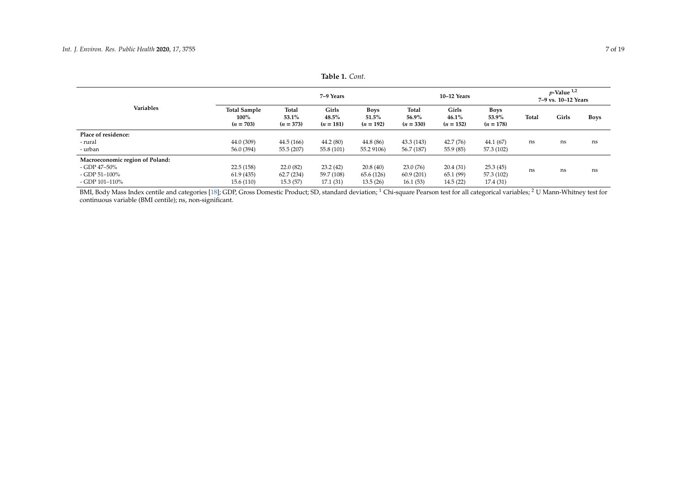| <b>Variables</b>                |                                               | 7–9 Years                            |                               |                                     | 10-12 Years                          |                               |                              | $p$ -Value $^{1,2}$<br>7-9 vs. 10-12 Years |       |      |
|---------------------------------|-----------------------------------------------|--------------------------------------|-------------------------------|-------------------------------------|--------------------------------------|-------------------------------|------------------------------|--------------------------------------------|-------|------|
|                                 | <b>Total Sample</b><br>$100\%$<br>$(n = 703)$ | <b>Total</b><br>53.1%<br>$(n = 373)$ | Girls<br>48.5%<br>$(n = 181)$ | <b>Boys</b><br>51.5%<br>$(n = 192)$ | <b>Total</b><br>56.9%<br>$(n = 330)$ | Girls<br>46.1%<br>$(n = 152)$ | Boys<br>53.9%<br>$(n = 178)$ | Total                                      | Girls | Boys |
| Place of residence:             |                                               |                                      |                               |                                     |                                      |                               |                              |                                            |       |      |
| - rural                         | 44.0 (309)                                    | 44.5(166)                            | 44.2(80)                      | 44.8 (86)                           | 43.3 (143)                           | 42.7(76)                      | 44.1 (67)                    | ns                                         | ns    | ns   |
| - urban                         | 56.0 (394)                                    | 55.5 (207)                           | 55.8 (101)                    | 55.2 9106)                          | 56.7 (187)                           | 55.9 (85)                     | 57.3 (102)                   |                                            |       |      |
| Macroeconomic region of Poland: |                                               |                                      |                               |                                     |                                      |                               |                              |                                            |       |      |
| - GDP 47–50%                    | 22.5(158)                                     | 22.0(82)                             | 23.2(42)                      | 20.8(40)                            | 23.0(76)                             | 20.4(31)                      | 25.3(45)                     | ns                                         |       | ns   |
| - GDP 51-100%                   | 61.9(435)                                     | 62.7(234)                            | 59.7 (108)                    | 65.6 (126)                          | 60.9(201)                            | 65.1(99)                      | 57.3 (102)                   |                                            | ns    |      |
| - GDP 101-110%                  | 15.6 (110)                                    | 15.3(57)                             | 17.1(31)                      | 13.5(26)                            | 16.1(53)                             | 14.5(22)                      | 17.4 (31)                    |                                            |       |      |

**Table 1.** *Cont.*

<span id="page-6-0"></span>BMI, Body Mass Index centile and categories [\[18\]](#page-17-13); GDP, Gross Domestic Product; SD, standard deviation; <sup>1</sup> Chi-square Pearson test for all categorical variables; <sup>2</sup> U Mann-Whitney test for continuous variable (BMI centile); ns, non-significant.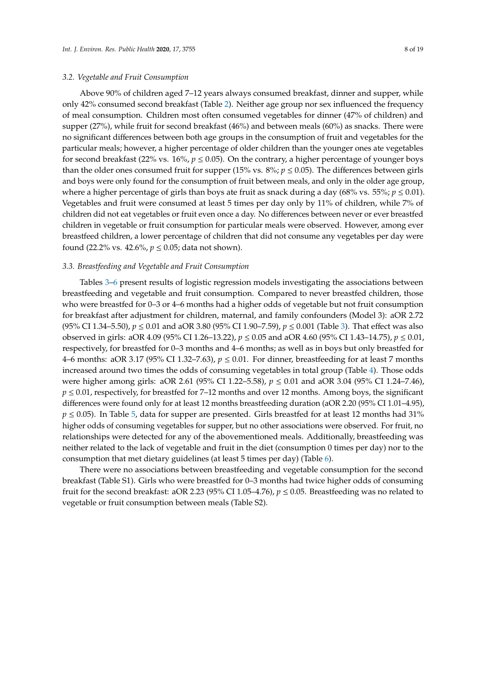#### *3.2. Vegetable and Fruit Consumption*

Above 90% of children aged 7–12 years always consumed breakfast, dinner and supper, while only 42% consumed second breakfast (Table [2\)](#page-9-0). Neither age group nor sex influenced the frequency of meal consumption. Children most often consumed vegetables for dinner (47% of children) and supper (27%), while fruit for second breakfast (46%) and between meals (60%) as snacks. There were no significant differences between both age groups in the consumption of fruit and vegetables for the particular meals; however, a higher percentage of older children than the younger ones ate vegetables for second breakfast (22% vs.  $16\%$ ,  $p \le 0.05$ ). On the contrary, a higher percentage of younger boys than the older ones consumed fruit for supper (15% vs.  $8\%$ ;  $p \le 0.05$ ). The differences between girls and boys were only found for the consumption of fruit between meals, and only in the older age group, where a higher percentage of girls than boys ate fruit as snack during a day (68% vs. 55%;  $p \le 0.01$ ). Vegetables and fruit were consumed at least 5 times per day only by 11% of children, while 7% of children did not eat vegetables or fruit even once a day. No differences between never or ever breastfed children in vegetable or fruit consumption for particular meals were observed. However, among ever breastfeed children, a lower percentage of children that did not consume any vegetables per day were found (22.2% vs. 42.6%, *p* ≤ 0.05; data not shown).

#### *3.3. Breastfeeding and Vegetable and Fruit Consumption*

Tables [3–](#page-10-0)[6](#page-13-0) present results of logistic regression models investigating the associations between breastfeeding and vegetable and fruit consumption. Compared to never breastfed children, those who were breastfed for 0–3 or 4–6 months had a higher odds of vegetable but not fruit consumption for breakfast after adjustment for children, maternal, and family confounders (Model 3): aOR 2.72 (95% CI 1.34–5.50), *p* ≤ 0.01 and aOR 3.80 (95% CI 1.90–7.59), *p* ≤ 0.001 (Table [3\)](#page-10-0). That effect was also observed in girls: aOR 4.09 (95% CI 1.26–13.22), *p* ≤ 0.05 and aOR 4.60 (95% CI 1.43–14.75), *p* ≤ 0.01, respectively, for breastfed for 0–3 months and 4–6 months; as well as in boys but only breastfed for 4–6 months: aOR 3.17 (95% CI 1.32–7.63), *p* ≤ 0.01. For dinner, breastfeeding for at least 7 months increased around two times the odds of consuming vegetables in total group (Table [4\)](#page-11-0). Those odds were higher among girls: aOR 2.61 (95% CI 1.22–5.58), *p* ≤ 0.01 and aOR 3.04 (95% CI 1.24–7.46),  $p \le 0.01$ , respectively, for breastfed for 7–12 months and over 12 months. Among boys, the significant differences were found only for at least 12 months breastfeeding duration (aOR 2.20 (95% CI 1.01–4.95),  $p \le 0.05$ ). In Table [5,](#page-12-0) data for supper are presented. Girls breastfed for at least 12 months had 31% higher odds of consuming vegetables for supper, but no other associations were observed. For fruit, no relationships were detected for any of the abovementioned meals. Additionally, breastfeeding was neither related to the lack of vegetable and fruit in the diet (consumption 0 times per day) nor to the consumption that met dietary guidelines (at least 5 times per day) (Table [6\)](#page-13-0).

There were no associations between breastfeeding and vegetable consumption for the second breakfast (Table S1). Girls who were breastfed for 0–3 months had twice higher odds of consuming fruit for the second breakfast: aOR 2.23 (95% CI 1.05–4.76),  $p \le 0.05$ . Breastfeeding was no related to vegetable or fruit consumption between meals (Table S2).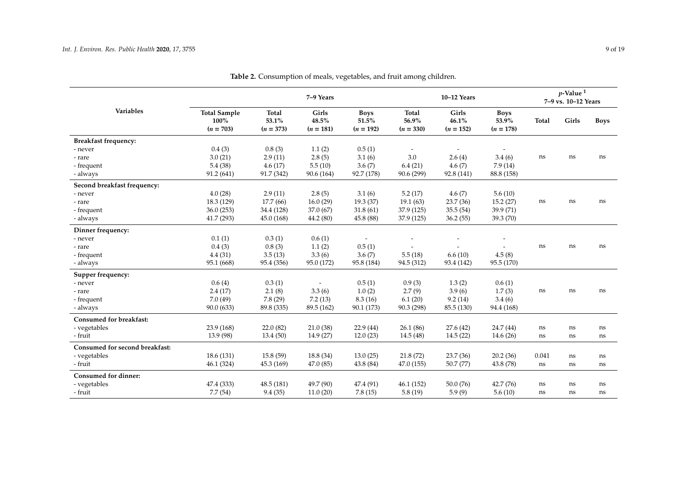|                                |                                            |                               | 7-9 Years                     |                                     |                                      | 10-12 Years                   |                                     |              | $p$ -Value <sup>1</sup><br>7-9 vs. 10-12 Years |             |
|--------------------------------|--------------------------------------------|-------------------------------|-------------------------------|-------------------------------------|--------------------------------------|-------------------------------|-------------------------------------|--------------|------------------------------------------------|-------------|
| Variables                      | <b>Total Sample</b><br>100%<br>$(n = 703)$ | Total<br>53.1%<br>$(n = 373)$ | Girls<br>48.5%<br>$(n = 181)$ | <b>Boys</b><br>51.5%<br>$(n = 192)$ | <b>Total</b><br>56.9%<br>$(n = 330)$ | Girls<br>46.1%<br>$(n = 152)$ | <b>Boys</b><br>53.9%<br>$(n = 178)$ | <b>Total</b> | Girls                                          | <b>Boys</b> |
| <b>Breakfast frequency:</b>    |                                            |                               |                               |                                     |                                      |                               |                                     |              |                                                |             |
| - never                        | 0.4(3)                                     | 0.8(3)                        | 1.1(2)                        | 0.5(1)                              |                                      |                               |                                     |              |                                                |             |
| - rare                         | 3.0(21)                                    | 2.9(11)                       | 2.8(5)                        | 3.1(6)                              | 3.0                                  | 2.6(4)                        | 3.4(6)                              | ns           | ns                                             | ns          |
| - frequent                     | 5.4(38)                                    | 4.6(17)                       | 5.5(10)                       | 3.6(7)                              | 6.4(21)                              | 4.6(7)                        | 7.9(14)                             |              |                                                |             |
| - always                       | 91.2(641)                                  | 91.7 (342)                    | 90.6 (164)                    | 92.7 (178)                          | 90.6 (299)                           | 92.8 (141)                    | 88.8 (158)                          |              |                                                |             |
| Second breakfast frequency:    |                                            |                               |                               |                                     |                                      |                               |                                     |              |                                                |             |
| - never                        | 4.0(28)                                    | 2.9(11)                       | 2.8(5)                        | 3.1(6)                              | 5.2(17)                              | 4.6(7)                        | 5.6(10)                             |              |                                                |             |
| - rare                         | 18.3 (129)                                 | 17.7(66)                      | 16.0(29)                      | 19.3 (37)                           | 19.1(63)                             | 23.7 (36)                     | 15.2(27)                            | ns           | ns                                             | ns          |
| - frequent                     | 36.0(253)                                  | 34.4 (128)                    | 37.0 (67)                     | 31.8(61)                            | 37.9 (125)                           | 35.5(54)                      | 39.9 (71)                           |              |                                                |             |
| - always                       | 41.7(293)                                  | 45.0(168)                     | 44.2 (80)                     | 45.8 (88)                           | 37.9 (125)                           | 36.2(55)                      | 39.3 (70)                           |              |                                                |             |
| Dinner frequency:              |                                            |                               |                               |                                     |                                      |                               |                                     |              |                                                |             |
| - never                        | 0.1(1)                                     | 0.3(1)                        | 0.6(1)                        |                                     |                                      |                               |                                     |              |                                                |             |
| - rare                         | 0.4(3)                                     | 0.8(3)                        | 1.1(2)                        | 0.5(1)                              |                                      |                               |                                     | $\rm ns$     | ns                                             | ns          |
| - frequent                     | 4.4(31)                                    | 3.5(13)                       | 3.3(6)                        | 3.6(7)                              | 5.5(18)                              | 6.6(10)                       | 4.5(8)                              |              |                                                |             |
| - always                       | 95.1 (668)                                 | 95.4 (356)                    | 95.0 (172)                    | 95.8 (184)                          | 94.5 (312)                           | 93.4 (142)                    | 95.5 (170)                          |              |                                                |             |
| Supper frequency:              |                                            |                               |                               |                                     |                                      |                               |                                     |              |                                                |             |
| - never                        | 0.6(4)                                     | 0.3(1)                        |                               | 0.5(1)                              | 0.9(3)                               | 1.3(2)                        | 0.6(1)                              |              |                                                |             |
| - rare                         | 2.4(17)                                    | 2.1(8)                        | 3.3(6)                        | 1.0(2)                              | 2.7(9)                               | 3.9(6)                        | 1.7(3)                              | ns           | ns                                             | ns          |
| - frequent                     | 7.0(49)                                    | 7.8(29)                       | 7.2(13)                       | 8.3(16)                             | 6.1(20)                              | 9.2(14)                       | 3.4(6)                              |              |                                                |             |
| - always                       | 90.0(633)                                  | 89.8 (335)                    | 89.5 (162)                    | 90.1 (173)                          | 90.3 (298)                           | 85.5 (130)                    | 94.4 (168)                          |              |                                                |             |
| Consumed for breakfast:        |                                            |                               |                               |                                     |                                      |                               |                                     |              |                                                |             |
| - vegetables                   | 23.9 (168)                                 | 22.0(82)                      | 21.0(38)                      | 22.9(44)                            | 26.1(86)                             | 27.6(42)                      | 24.7 (44)                           | ns           | ns                                             | ns          |
| - fruit                        | 13.9 (98)                                  | 13.4(50)                      | 14.9 (27)                     | 12.0(23)                            | 14.5(48)                             | 14.5(22)                      | 14.6(26)                            | ns           | ns                                             | ns          |
| Consumed for second breakfast: |                                            |                               |                               |                                     |                                      |                               |                                     |              |                                                |             |
| - vegetables                   | 18.6(131)                                  | 15.8(59)                      | 18.8(34)                      | 13.0(25)                            | 21.8(72)                             | 23.7(36)                      | 20.2(36)                            | 0.041        | ns                                             | ns          |
| - fruit                        | 46.1(324)                                  | 45.3(169)                     | 47.0(85)                      | 43.8 (84)                           | 47.0(155)                            | 50.7(77)                      | 43.8 (78)                           | ns           | ns                                             | ns          |
| Consumed for dinner:           |                                            |                               |                               |                                     |                                      |                               |                                     |              |                                                |             |
| - vegetables                   | 47.4 (333)                                 | 48.5 (181)                    | 49.7 (90)                     | 47.4 (91)                           | 46.1(152)                            | 50.0(76)                      | 42.7 (76)                           | ns           | ns                                             | ns          |
| - fruit                        | 7.7(54)                                    | 9.4(35)                       | 11.0(20)                      | 7.8(15)                             | 5.8(19)                              | 5.9(9)                        | 5.6(10)                             | ns           | ns                                             | ns          |

**Table 2.** Consumption of meals, vegetables, and fruit among children.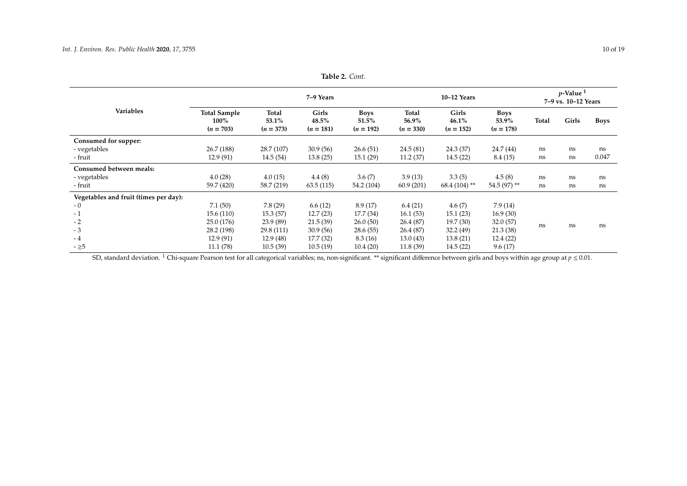|                                       | 7-9 Years                                  |                                      |                               |                                     |                                      | $p$ -Value <sup>1</sup><br>7-9 vs. 10-12 Years |                                     |       |       |             |
|---------------------------------------|--------------------------------------------|--------------------------------------|-------------------------------|-------------------------------------|--------------------------------------|------------------------------------------------|-------------------------------------|-------|-------|-------------|
| <b>Variables</b>                      | <b>Total Sample</b><br>100%<br>$(n = 703)$ | <b>Total</b><br>53.1%<br>$(n = 373)$ | Girls<br>48.5%<br>$(n = 181)$ | <b>Boys</b><br>51.5%<br>$(n = 192)$ | <b>Total</b><br>56.9%<br>$(n = 330)$ | Girls<br>46.1%<br>$(n = 152)$                  | <b>Boys</b><br>53.9%<br>$(n = 178)$ | Total | Girls | <b>Boys</b> |
| Consumed for supper:                  |                                            |                                      |                               |                                     |                                      |                                                |                                     |       |       |             |
| - vegetables                          | 26.7 (188)                                 | 28.7 (107)                           | 30.9(56)                      | 26.6(51)                            | 24.5(81)                             | 24.3 (37)                                      | 24.7 (44)                           | ns    | ns    | ns          |
| - fruit                               | 12.9(91)                                   | 14.5(54)                             | 13.8(25)                      | 15.1(29)                            | 11.2(37)                             | 14.5(22)                                       | 8.4(15)                             | ns    | ns    | 0.047       |
| Consumed between meals:               |                                            |                                      |                               |                                     |                                      |                                                |                                     |       |       |             |
| - vegetables                          | 4.0(28)                                    | 4.0(15)                              | 4.4(8)                        | 3.6(7)                              | 3.9(13)                              | 3.3(5)                                         | 4.5(8)                              | ns    | ns    | ns          |
| - fruit                               | 59.7 (420)                                 | 58.7 (219)                           | 63.5(115)                     | 54.2 (104)                          | 60.9(201)                            | $68.4(104)$ **                                 | 54.5 (97) **                        | ns    | ns    | ns          |
| Vegetables and fruit (times per day): |                                            |                                      |                               |                                     |                                      |                                                |                                     |       |       |             |
| - 0                                   | 7.1(50)                                    | 7.8(29)                              | 6.6(12)                       | 8.9(17)                             | 6.4(21)                              | 4.6(7)                                         | 7.9(14)                             |       |       |             |
| $-1$                                  | 15.6 (110)                                 | 15.3(57)                             | 12.7(23)                      | 17.7(34)                            | 16.1(53)                             | 15.1(23)                                       | 16.9(30)                            |       |       |             |
| $-2$                                  | 25.0 (176)                                 | 23.9 (89)                            | 21.5(39)                      | 26.0(50)                            | 26.4 (87)                            | 19.7(30)                                       | 32.0(57)                            |       |       |             |
| $-3$                                  | 28.2 (198)                                 | 29.8 (111)                           | 30.9(56)                      | 28.6(55)                            | 26.4 (87)                            | 32.2 (49)                                      | 21.3(38)                            | ns    | ns    | ns          |
| - 4                                   | 12.9 (91)                                  | 12.9(48)                             | 17.7(32)                      | 8.3(16)                             | 13.0(43)                             | 13.8(21)                                       | 12.4(22)                            |       |       |             |
| $-25$                                 | 11.1(78)                                   | 10.5(39)                             | 10.5(19)                      | 10.4(20)                            | 11.8(39)                             | 14.5(22)                                       | 9.6(17)                             |       |       |             |

**Table 2.** *Cont.*

<span id="page-9-0"></span>SD, standard deviation.<sup>1</sup> Chi-square Pearson test for all categorical variables; ns, non-significant. \*\* significant difference between girls and boys within age group at  $p \le 0.01$ .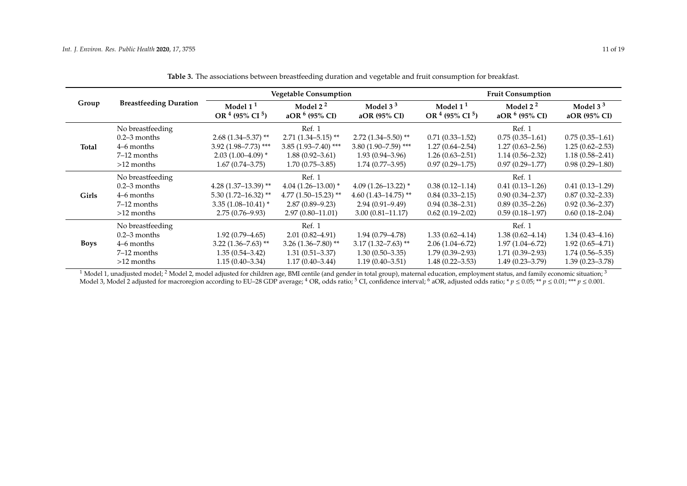|       |                               |                                    | <b>Vegetable Consumption</b>           |                            |                                    | <b>Fruit Consumption</b>       |                            |  |  |  |
|-------|-------------------------------|------------------------------------|----------------------------------------|----------------------------|------------------------------------|--------------------------------|----------------------------|--|--|--|
| Group | <b>Breastfeeding Duration</b> | Model $11$<br>OR $4$ (95% CI $5$ ) | Model $22$<br>aOR $6(95\% \text{ CI})$ | Model $33$<br>aOR (95% CI) | Model $11$<br>OR $4$ (95% CI $5$ ) | Model $22$<br>aOR $6$ (95% CI) | Model $33$<br>aOR (95% CI) |  |  |  |
|       | No breastfeeding              |                                    | Ref. 1                                 |                            |                                    | Ref. 1                         |                            |  |  |  |
|       | $0.2 - 3$ months              | $2.68(1.34 - 5.37)$ **             | $2.71(1.34 - 5.15)$ **                 | $2.72(1.34 - 5.50)$ **     | $0.71(0.33 - 1.52)$                | $0.75(0.35-1.61)$              | $0.75(0.35-1.61)$          |  |  |  |
| Total | 4–6 months                    | $3.92$ (1.98-7.73) ***             | $3.85(1.93 - 7.40)$ ***                | $3.80(1.90 - 7.59)$ ***    | $1.27(0.64 - 2.54)$                | $1.27(0.63 - 2.56)$            | $1.25(0.62 - 2.53)$        |  |  |  |
|       | 7–12 months                   | $2.03(1.00-4.09)$ *                | $1.88(0.92 - 3.61)$                    | $1.93(0.94 - 3.96)$        | $1.26(0.63 - 2.51)$                | $1.14(0.56 - 2.32)$            | $1.18(0.58 - 2.41)$        |  |  |  |
|       | $>12$ months                  | $1.67(0.74 - 3.75)$                | $1.70(0.75 - 3.85)$                    | $1.74(0.77 - 3.95)$        | $0.97(0.29 - 1.75)$                | $0.97(0.29 - 1.77)$            | $0.98(0.29 - 1.80)$        |  |  |  |
|       | No breastfeeding              |                                    | Ref. 1                                 |                            |                                    | Ref. 1                         |                            |  |  |  |
|       | $0.2-3$ months                | 4.28 $(1.37-13.39)$ **             | $4.04(1.26-13.00)*$                    | $4.09(1.26 - 13.22)*$      | $0.38(0.12 - 1.14)$                | $0.41(0.13 - 1.26)$            | $0.41(0.13 - 1.29)$        |  |  |  |
| Girls | 4–6 months                    | $5.30(1.72 - 16.32)$ **            | 4.77 $(1.50 - 15.23)$ **               | $4.60(1.43 - 14.75)$ **    | $0.84(0.33 - 2.15)$                | $0.90(0.34 - 2.37)$            | $0.87(0.32 - 2.33)$        |  |  |  |
|       | 7–12 months                   | $3.35(1.08-10.41)^*$               | $2.87(0.89 - 9.23)$                    | $2.94(0.91 - 9.49)$        | $0.94(0.38 - 2.31)$                | $0.89(0.35 - 2.26)$            | $0.92(0.36 - 2.37)$        |  |  |  |
|       | $>12$ months                  | $2.75(0.76 - 9.93)$                | $2.97(0.80 - 11.01)$                   | $3.00(0.81 - 11.17)$       | $0.62(0.19 - 2.02)$                | $0.59(0.18-1.97)$              | $0.60(0.18-2.04)$          |  |  |  |
|       | No breastfeeding              |                                    | Ref. 1                                 |                            |                                    | Ref. 1                         |                            |  |  |  |
|       | $0.2-3$ months                | $1.92(0.79 - 4.65)$                | $2.01(0.82 - 4.91)$                    | $1.94(0.79 - 4.78)$        | $1.33(0.62 - 4.14)$                | $1.38(0.62 - 4.14)$            | $1.34(0.43 - 4.16)$        |  |  |  |
| Boys  | 4–6 months                    | $3.22$ (1.36–7.63) <sup>**</sup>   | 3.26 $(1.36 - 7.80)$ **                | $3.17(1.32 - 7.63)$ **     | $2.06(1.04 - 6.72)$                | $1.97(1.04 - 6.72)$            | $1.92(0.65 - 4.71)$        |  |  |  |
|       | $7-12$ months                 | $1.35(0.54 - 3.42)$                | $1.31(0.51 - 3.37)$                    | $1.30(0.50-3.35)$          | $1.79(0.39 - 2.93)$                | $1.71(0.39 - 2.93)$            | $1.74(0.56 - 5.35)$        |  |  |  |
|       | $>12$ months                  | $1.15(0.40-3.34)$                  | $1.17(0.40 - 3.44)$                    | $1.19(0.40 - 3.51)$        | $1.48(0.22 - 3.53)$                | $1.49(0.23 - 3.79)$            | $1.39(0.23 - 3.78)$        |  |  |  |

**Table 3.** The associations between breastfeeding duration and vegetable and fruit consumption for breakfast.

<span id="page-10-0"></span> $^1$  Model 1, unadjusted model;  $^2$  Model 2, model adjusted for children age, BMI centile (and gender in total group), maternal education, employment status, and family economic situation;  $^3$ Model 3, Model 2 adjusted for macroregion according to EU–28 GDP average; <sup>4</sup> OR, odds ratio; <sup>5</sup> CI, confidence interval; <sup>6</sup> aOR, adjusted odds ratio; \* *p* ≤ 0.05; \*\* *p* ≤ 0.01; \*\*\* *p* ≤ 0.001.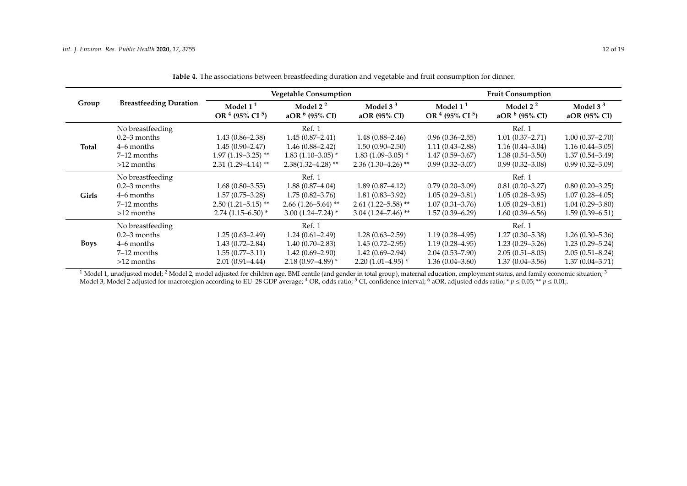|              |                               |                                    | <b>Vegetable Consumption</b>   |                            |                                    | <b>Fruit Consumption</b>       |                            |  |  |  |
|--------------|-------------------------------|------------------------------------|--------------------------------|----------------------------|------------------------------------|--------------------------------|----------------------------|--|--|--|
| Group        | <b>Breastfeeding Duration</b> | Model $11$<br>OR $4$ (95% CI $5$ ) | Model $22$<br>aOR $6$ (95% CI) | Model $33$<br>aOR (95% CI) | Model $11$<br>OR $4$ (95% CI $5$ ) | Model $22$<br>aOR $6$ (95% CI) | Model $33$<br>aOR (95% CI) |  |  |  |
|              | No breastfeeding              |                                    | Ref. 1                         |                            |                                    | Ref. 1                         |                            |  |  |  |
|              | $0.2 - 3$ months              | $1.43(0.86 - 2.38)$                | $1.45(0.87 - 2.41)$            | $1.48(0.88 - 2.46)$        | $0.96(0.36 - 2.55)$                | $1.01(0.37 - 2.71)$            | $1.00(0.37 - 2.70)$        |  |  |  |
| <b>Total</b> | 4–6 months                    | $1.45(0.90 - 2.47)$                | $1.46(0.88 - 2.42)$            | $1.50(0.90 - 2.50)$        | $1.11(0.43 - 2.88)$                | $1.16(0.44 - 3.04)$            | $1.16(0.44 - 3.05)$        |  |  |  |
|              | 7–12 months                   | $1.97(1.19-3.25)$ **               | $1.83(1.10-3.05)$ *            | $1.83(1.09-3.05)$ *        | $1.47(0.59 - 3.67)$                | $1.38(0.54 - 3.50)$            | $1.37(0.54 - 3.49)$        |  |  |  |
|              | $>12$ months                  | $2.31(1.29 - 4.14)$ **             | $2.38(1.32 - 4.28)$ **         | $2.36(1.30-4.26)$ **       | $0.99(0.32 - 3.07)$                | $0.99(0.32 - 3.08)$            | $0.99(0.32 - 3.09)$        |  |  |  |
|              | No breastfeeding              |                                    | Ref. 1                         |                            |                                    | Ref. 1                         |                            |  |  |  |
|              | $0.2 - 3$ months              | $1.68(0.80-3.55)$                  | $1.88(0.87 - 4.04)$            | $1.89(0.87 - 4.12)$        | $0.79(0.20-3.09)$                  | $0.81(0.20 - 3.27)$            | $0.80(0.20 - 3.25)$        |  |  |  |
| Girls        | 4–6 months                    | $1.57(0.75 - 3.28)$                | $1.75(0.82 - 3.76)$            | $1.81(0.83 - 3.92)$        | $1.05(0.29 - 3.81)$                | $1.05(0.28 - 3.95)$            | $1.07(0.28 - 4.05)$        |  |  |  |
|              | 7–12 months                   | $2.50(1.21 - 5.15)$ **             | $2.66(1.26 - 5.64)$ **         | $2.61(1.22 - 5.58)$ **     | $1.07(0.31 - 3.76)$                | $1.05(0.29 - 3.81)$            | $1.04(0.29 - 3.80)$        |  |  |  |
|              | $>12$ months                  | $2.74(1.15-6.50)$ *                | $3.00(1.24 - 7.24)$ *          | $3.04(1.24 - 7.46)$ **     | $1.57(0.39 - 6.29)$                | $1.60(0.39 - 6.56)$            | $1.59(0.39 - 6.51)$        |  |  |  |
|              | No breastfeeding              |                                    | Ref. 1                         |                            |                                    | Ref. 1                         |                            |  |  |  |
|              | $0.2-3$ months                | $1.25(0.63 - 2.49)$                | $1.24(0.61 - 2.49)$            | $1.28(0.63 - 2.59)$        | $1.19(0.28 - 4.95)$                | $1.27(0.30 - 5.38)$            | $1.26(0.30 - 5.36)$        |  |  |  |
| <b>Boys</b>  | 4–6 months                    | $1.43(0.72 - 2.84)$                | $1.40(0.70 - 2.83)$            | $1.45(0.72 - 2.95)$        | $1.19(0.28 - 4.95)$                | $1.23(0.29 - 5.26)$            | $1.23(0.29 - 5.24)$        |  |  |  |
|              | 7–12 months                   | $1.55(0.77-3.11)$                  | $1.42(0.69 - 2.90)$            | $1.42(0.69 - 2.94)$        | $2.04(0.53 - 7.90)$                | $2.05(0.51 - 8.03)$            | $2.05(0.51 - 8.24)$        |  |  |  |
|              | $>12$ months                  | $2.01(0.91 - 4.44)$                | $2.18(0.97 - 4.89)$ *          | $2.20(1.01-4.95)$ *        | $1.36(0.04 - 3.60)$                | $1.37(0.04 - 3.56)$            | $1.37(0.04 - 3.71)$        |  |  |  |

**Table 4.** The associations between breastfeeding duration and vegetable and fruit consumption for dinner.

<span id="page-11-0"></span> $^1$  Model 1, unadjusted model;  $^2$  Model 2, model adjusted for children age, BMI centile (and gender in total group), maternal education, employment status, and family economic situation;  $^3$ Model 3, Model 2 adjusted for macroregion according to EU–28 GDP average; <sup>4</sup> OR, odds ratio; <sup>5</sup> CI, confidence interval; <sup>6</sup> aOR, adjusted odds ratio; \* *p* ≤ 0.05; \*\* *p* ≤ 0.01;.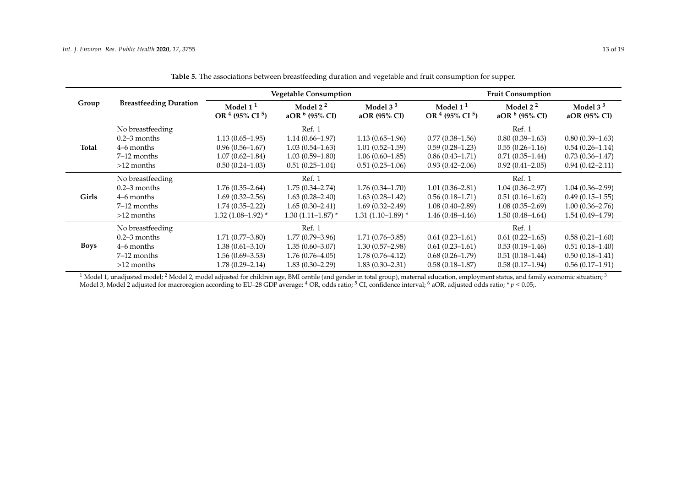|              |                               |                                    | <b>Vegetable Consumption</b>   |                            | <b>Fruit Consumption</b>           |                                |                            |  |
|--------------|-------------------------------|------------------------------------|--------------------------------|----------------------------|------------------------------------|--------------------------------|----------------------------|--|
| Group        | <b>Breastfeeding Duration</b> | Model $11$<br>OR $4$ (95% CI $5$ ) | Model $22$<br>aOR $6$ (95% CI) | Model $33$<br>aOR (95% CI) | Model $11$<br>OR $4$ (95% CI $5$ ) | Model $22$<br>aOR $6$ (95% CI) | Model $33$<br>aOR (95% CI) |  |
|              | No breastfeeding              |                                    | Ref. 1                         |                            |                                    | Ref. 1                         |                            |  |
|              | $0.2 - 3$ months              | $1.13(0.65-1.95)$                  | $1.14(0.66 - 1.97)$            | $1.13(0.65-1.96)$          | $0.77(0.38 - 1.56)$                | $0.80(0.39-1.63)$              | $0.80(0.39-1.63)$          |  |
| <b>Total</b> | 4–6 months                    | $0.96(0.56 - 1.67)$                | $1.03(0.54 - 1.63)$            | $1.01(0.52 - 1.59)$        | $0.59(0.28 - 1.23)$                | $0.55(0.26 - 1.16)$            | $0.54(0.26 - 1.14)$        |  |
|              | $7-12$ months                 | $1.07(0.62 - 1.84)$                | $1.03(0.59 - 1.80)$            | $1.06(0.60-1.85)$          | $0.86(0.43 - 1.71)$                | $0.71(0.35 - 1.44)$            | $0.73(0.36 - 1.47)$        |  |
|              | $>12$ months                  | $0.50(0.24 - 1.03)$                | $0.51(0.25-1.04)$              | $0.51(0.25-1.06)$          | $0.93(0.42 - 2.06)$                | $0.92(0.41 - 2.05)$            | $0.94(0.42 - 2.11)$        |  |
|              | No breastfeeding              |                                    | Ref. 1                         |                            |                                    | Ref. 1                         |                            |  |
|              | $0.2 - 3$ months              | $1.76(0.35-2.64)$                  | $1.75(0.34 - 2.74)$            | $1.76(0.34 - 1.70)$        | $1.01(0.36 - 2.81)$                | $1.04(0.36 - 2.97)$            | $1.04(0.36 - 2.99)$        |  |
| <b>Girls</b> | 4–6 months                    | $1.69(0.32 - 2.56)$                | $1.63(0.28 - 2.40)$            | $1.63(0.28 - 1.42)$        | $0.56(0.18-1.71)$                  | $0.51(0.16-1.62)$              | $0.49(0.15-1.55)$          |  |
|              | $7-12$ months                 | $1.74(0.35 - 2.22)$                | $1.65(0.30-2.41)$              | $1.69(0.32 - 2.49)$        | $1.08(0.40 - 2.89)$                | $1.08(0.35 - 2.69)$            | $1.00(0.36 - 2.76)$        |  |
|              | $>12$ months                  | $1.32(1.08-1.92)$ *                | $1.30(1.11 - 1.87)$ *          | $1.31(1.10-1.89)$ *        | $1.46(0.48 - 4.46)$                | $1.50(0.48 - 4.64)$            | $1.54(0.49 - 4.79)$        |  |
|              | No breastfeeding              |                                    | Ref. 1                         |                            |                                    | Ref. 1                         |                            |  |
|              | $0.2 - 3$ months              | $1.71(0.77 - 3.80)$                | $1.77(0.79 - 3.96)$            | $1.71(0.76 - 3.85)$        | $0.61(0.23-1.61)$                  | $0.61(0.22 - 1.65)$            | $0.58(0.21 - 1.60)$        |  |
| <b>Boys</b>  | 4–6 months                    | $1.38(0.61 - 3.10)$                | $1.35(0.60 - 3.07)$            | $1.30(0.57 - 2.98)$        | $0.61(0.23 - 1.61)$                | $0.53(0.19-1.46)$              | $0.51(0.18-1.40)$          |  |
|              | $7-12$ months                 | $1.56(0.69-3.53)$                  | $1.76(0.76 - 4.05)$            | $1.78(0.76 - 4.12)$        | $0.68(0.26 - 1.79)$                | $0.51(0.18-1.44)$              | $0.50(0.18-1.41)$          |  |
|              | $>12$ months                  | $1.78(0.29 - 2.14)$                | $1.83(0.30 - 2.29)$            | $1.83(0.30 - 2.31)$        | $0.58(0.18 - 1.87)$                | $0.58(0.17-1.94)$              | $0.56(0.17-1.91)$          |  |

**Table 5.** The associations between breastfeeding duration and vegetable and fruit consumption for supper.

<span id="page-12-0"></span> $^1$  Model 1, unadjusted model;  $^2$  Model 2, model adjusted for children age, BMI centile (and gender in total group), maternal education, employment status, and family economic situation;  $^3$ Model 3, Model 2 adjusted for macroregion according to EU–28 GDP average; <sup>4</sup> OR, odds ratio; <sup>5</sup> CI, confidence interval; <sup>6</sup> aOR, adjusted odds ratio; \* *p* ≤ 0.05;.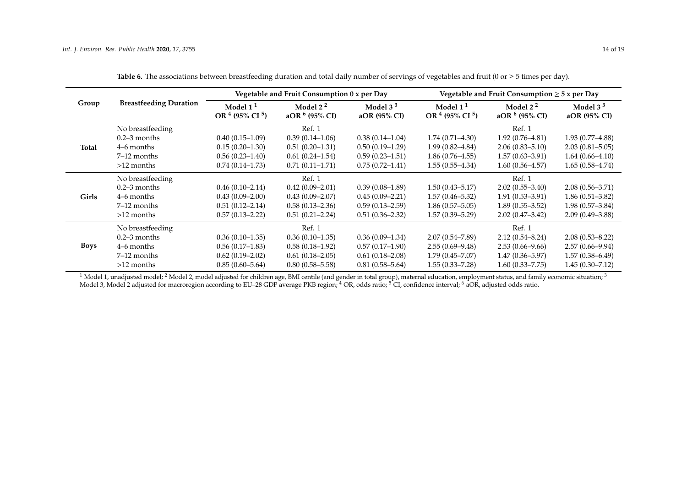|              |                               |                                    | Vegetable and Fruit Consumption 0 x per Day |                            | Vegetable and Fruit Consumption $\geq 5$ x per Day |                                |                            |  |  |
|--------------|-------------------------------|------------------------------------|---------------------------------------------|----------------------------|----------------------------------------------------|--------------------------------|----------------------------|--|--|
| Group        | <b>Breastfeeding Duration</b> | Model $11$<br>OR $4$ (95% CI $5$ ) | Model $22$<br>aOR $6$ (95% CI)              | Model $33$<br>aOR (95% CI) | Model $11$<br>OR $4$ (95% CI $5$ )                 | Model $22$<br>aOR $6$ (95% CI) | Model $33$<br>aOR (95% CI) |  |  |
|              | No breastfeeding              |                                    | Ref. 1                                      |                            |                                                    | Ref. 1                         |                            |  |  |
|              | $0.2-3$ months                | $0.40(0.15-1.09)$                  | $0.39(0.14-1.06)$                           | $0.38(0.14-1.04)$          | $1.74(0.71 - 4.30)$                                | $1.92(0.76 - 4.81)$            | $1.93(0.77 - 4.88)$        |  |  |
| Total        | 4–6 months                    | $0.15(0.20-1.30)$                  | $0.51(0.20-1.31)$                           | $0.50(0.19-1.29)$          | $1.99(0.82 - 4.84)$                                | $2.06(0.83 - 5.10)$            | $2.03(0.81 - 5.05)$        |  |  |
|              | 7–12 months                   | $0.56(0.23 - 1.40)$                | $0.61(0.24 - 1.54)$                         | $0.59(0.23 - 1.51)$        | $1.86(0.76 - 4.55)$                                | $1.57(0.63 - 3.91)$            | $1.64(0.66 - 4.10)$        |  |  |
|              | $>12$ months                  | $0.74(0.14-1.73)$                  | $0.71(0.11-1.71)$                           | $0.75(0.72 - 1.41)$        | $1.55(0.55-4.34)$                                  | $1.60(0.56 - 4.57)$            | $1.65(0.58-4.74)$          |  |  |
|              | No breastfeeding              |                                    | Ref. 1                                      |                            |                                                    | Ref. 1                         |                            |  |  |
|              | $0.2 - 3$ months              | $0.46(0.10-2.14)$                  | $0.42(0.09 - 2.01)$                         | $0.39(0.08-1.89)$          | $1.50(0.43 - 5.17)$                                | $2.02(0.55 - 3.40)$            | $2.08(0.56 - 3.71)$        |  |  |
| <b>Girls</b> | 4–6 months                    | $0.43(0.09-2.00)$                  | $0.43(0.09 - 2.07)$                         | $0.45(0.09 - 2.21)$        | $1.57(0.46 - 5.32)$                                | $1.91(0.53 - 3.91)$            | $1.86(0.51 - 3.82)$        |  |  |
|              | $7-12$ months                 | $0.51(0.12 - 2.14)$                | $0.58(0.13 - 2.36)$                         | $0.59(0.13 - 2.59)$        | $1.86(0.57 - 5.05)$                                | $1.89(0.55 - 3.52)$            | $1.98(0.57 - 3.84)$        |  |  |
|              | $>12$ months                  | $0.57(0.13 - 2.22)$                | $0.51(0.21 - 2.24)$                         | $0.51(0.36 - 2.32)$        | $1.57(0.39 - 5.29)$                                | $2.02(0.47 - 3.42)$            | $2.09(0.49 - 3.88)$        |  |  |
|              | No breastfeeding              |                                    | Ref. 1                                      |                            |                                                    | Ref. 1                         |                            |  |  |
|              | $0.2 - 3$ months              | $0.36(0.10-1.35)$                  | $0.36(0.10-1.35)$                           | $0.36(0.09-1.34)$          | $2.07(0.54 - 7.89)$                                | $2.12(0.54 - 8.24)$            | $2.08(0.53 - 8.22)$        |  |  |
| <b>Boys</b>  | 4–6 months                    | $0.56(0.17-1.83)$                  | $0.58(0.18-1.92)$                           | $0.57(0.17-1.90)$          | $2.55(0.69 - 9.48)$                                | $2.53(0.66 - 9.66)$            | $2.57(0.66 - 9.94)$        |  |  |
|              | 7–12 months                   | $0.62(0.19-2.02)$                  | $0.61(0.18-2.05)$                           | $0.61(0.18-2.08)$          | $1.79(0.45 - 7.07)$                                | $1.47(0.36 - 5.97)$            | $1.57(0.38 - 6.49)$        |  |  |
|              | $>12$ months                  | $0.85(0.60 - 5.64)$                | $0.80(0.58 - 5.58)$                         | $0.81(0.58 - 5.64)$        | $1.55(0.33 - 7.28)$                                | $1.60(0.33 - 7.75)$            | $1.45(0.30 - 7.12)$        |  |  |

Table 6. The associations between breastfeeding duration and total daily number of servings of vegetables and fruit  $(0 \text{ or } \geq 5 \text{ times per day}).$ 

<span id="page-13-0"></span> $^1$  Model 1, unadjusted model;  $^2$  Model 2, model adjusted for children age, BMI centile (and gender in total group), maternal education, employment status, and family economic situation;  $^3$ Model 3, Model 2 adjusted for macroregion according to EU–28 GDP average PKB region; <sup>4</sup> OR, odds ratio; <sup>5</sup> CI, confidence interval; <sup>6</sup> aOR, adjusted odds ratio.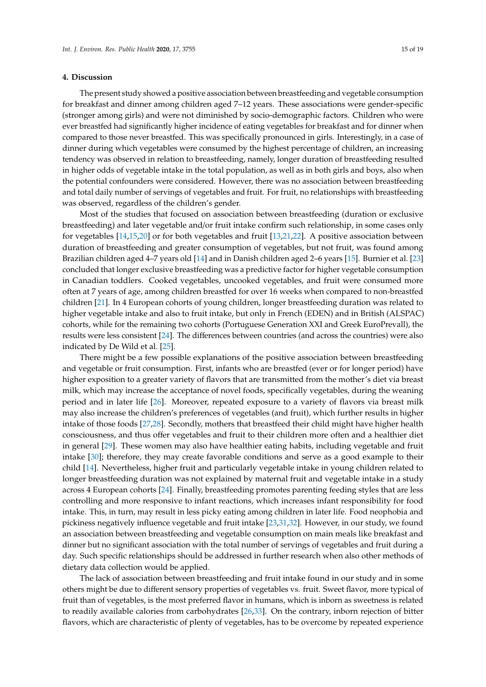#### **4. Discussion**

The present study showed a positive association between breastfeeding and vegetable consumption for breakfast and dinner among children aged 7–12 years. These associations were gender-specific (stronger among girls) and were not diminished by socio-demographic factors. Children who were ever breastfed had significantly higher incidence of eating vegetables for breakfast and for dinner when compared to those never breastfed. This was specifically pronounced in girls. Interestingly, in a case of dinner during which vegetables were consumed by the highest percentage of children, an increasing tendency was observed in relation to breastfeeding, namely, longer duration of breastfeeding resulted in higher odds of vegetable intake in the total population, as well as in both girls and boys, also when the potential confounders were considered. However, there was no association between breastfeeding and total daily number of servings of vegetables and fruit. For fruit, no relationships with breastfeeding was observed, regardless of the children's gender.

Most of the studies that focused on association between breastfeeding (duration or exclusive breastfeeding) and later vegetable and/or fruit intake confirm such relationship, in some cases only for vegetables [\[14,](#page-17-7)[15,](#page-17-8)[20\]](#page-17-14) or for both vegetables and fruit [\[13](#page-17-6)[,21](#page-17-15)[,22\]](#page-17-16). A positive association between duration of breastfeeding and greater consumption of vegetables, but not fruit, was found among Brazilian children aged 4–7 years old [\[14\]](#page-17-7) and in Danish children aged 2–6 years [\[15\]](#page-17-8). Burnier et al. [\[23\]](#page-17-17) concluded that longer exclusive breastfeeding was a predictive factor for higher vegetable consumption in Canadian toddlers. Cooked vegetables, uncooked vegetables, and fruit were consumed more often at 7 years of age, among children breastfed for over 16 weeks when compared to non-breastfed children [\[21\]](#page-17-15). In 4 European cohorts of young children, longer breastfeeding duration was related to higher vegetable intake and also to fruit intake, but only in French (EDEN) and in British (ALSPAC) cohorts, while for the remaining two cohorts (Portuguese Generation XXI and Greek EuroPrevall), the results were less consistent [\[24\]](#page-17-18). The differences between countries (and across the countries) were also indicated by De Wild et al. [\[25\]](#page-17-19).

There might be a few possible explanations of the positive association between breastfeeding and vegetable or fruit consumption. First, infants who are breastfed (ever or for longer period) have higher exposition to a greater variety of flavors that are transmitted from the mother's diet via breast milk, which may increase the acceptance of novel foods, specifically vegetables, during the weaning period and in later life [\[26\]](#page-17-20). Moreover, repeated exposure to a variety of flavors via breast milk may also increase the children's preferences of vegetables (and fruit), which further results in higher intake of those foods [\[27,](#page-17-21)[28\]](#page-18-0). Secondly, mothers that breastfeed their child might have higher health consciousness, and thus offer vegetables and fruit to their children more often and a healthier diet in general [\[29\]](#page-18-1). These women may also have healthier eating habits, including vegetable and fruit intake [\[30\]](#page-18-2); therefore, they may create favorable conditions and serve as a good example to their child [\[14\]](#page-17-7). Nevertheless, higher fruit and particularly vegetable intake in young children related to longer breastfeeding duration was not explained by maternal fruit and vegetable intake in a study across 4 European cohorts [\[24\]](#page-17-18). Finally, breastfeeding promotes parenting feeding styles that are less controlling and more responsive to infant reactions, which increases infant responsibility for food intake. This, in turn, may result in less picky eating among children in later life. Food neophobia and pickiness negatively influence vegetable and fruit intake [\[23,](#page-17-17)[31,](#page-18-3)[32\]](#page-18-4). However, in our study, we found an association between breastfeeding and vegetable consumption on main meals like breakfast and dinner but no significant association with the total number of servings of vegetables and fruit during a day. Such specific relationships should be addressed in further research when also other methods of dietary data collection would be applied.

The lack of association between breastfeeding and fruit intake found in our study and in some others might be due to different sensory properties of vegetables vs. fruit. Sweet flavor, more typical of fruit than of vegetables, is the most preferred flavor in humans, which is inborn as sweetness is related to readily available calories from carbohydrates [\[26](#page-17-20)[,33\]](#page-18-5). On the contrary, inborn rejection of bitter flavors, which are characteristic of plenty of vegetables, has to be overcome by repeated experience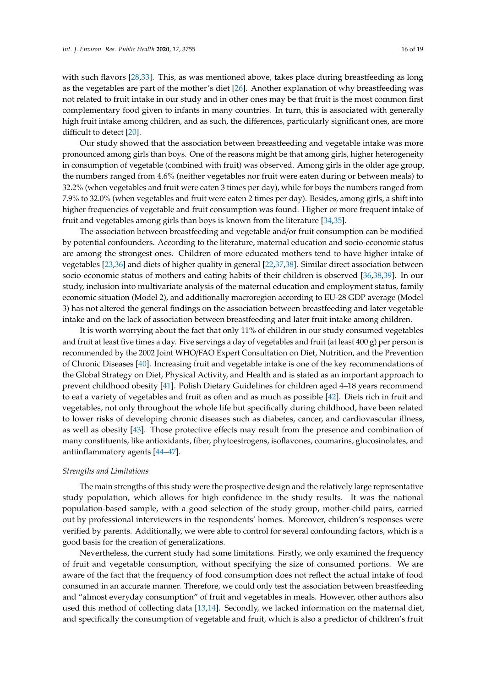with such flavors [\[28,](#page-18-0)[33\]](#page-18-5). This, as was mentioned above, takes place during breastfeeding as long as the vegetables are part of the mother's diet [\[26\]](#page-17-20). Another explanation of why breastfeeding was not related to fruit intake in our study and in other ones may be that fruit is the most common first complementary food given to infants in many countries. In turn, this is associated with generally high fruit intake among children, and as such, the differences, particularly significant ones, are more difficult to detect [\[20\]](#page-17-14).

Our study showed that the association between breastfeeding and vegetable intake was more pronounced among girls than boys. One of the reasons might be that among girls, higher heterogeneity in consumption of vegetable (combined with fruit) was observed. Among girls in the older age group, the numbers ranged from 4.6% (neither vegetables nor fruit were eaten during or between meals) to 32.2% (when vegetables and fruit were eaten 3 times per day), while for boys the numbers ranged from 7.9% to 32.0% (when vegetables and fruit were eaten 2 times per day). Besides, among girls, a shift into higher frequencies of vegetable and fruit consumption was found. Higher or more frequent intake of fruit and vegetables among girls than boys is known from the literature [\[34](#page-18-6)[,35\]](#page-18-7).

The association between breastfeeding and vegetable and/or fruit consumption can be modified by potential confounders. According to the literature, maternal education and socio-economic status are among the strongest ones. Children of more educated mothers tend to have higher intake of vegetables [\[23,](#page-17-17)[36\]](#page-18-8) and diets of higher quality in general [\[22](#page-17-16)[,37](#page-18-9)[,38\]](#page-18-10). Similar direct association between socio-economic status of mothers and eating habits of their children is observed [\[36,](#page-18-8)[38](#page-18-10)[,39\]](#page-18-11). In our study, inclusion into multivariate analysis of the maternal education and employment status, family economic situation (Model 2), and additionally macroregion according to EU-28 GDP average (Model 3) has not altered the general findings on the association between breastfeeding and later vegetable intake and on the lack of association between breastfeeding and later fruit intake among children.

It is worth worrying about the fact that only 11% of children in our study consumed vegetables and fruit at least five times a day. Five servings a day of vegetables and fruit (at least 400 g) per person is recommended by the 2002 Joint WHO/FAO Expert Consultation on Diet, Nutrition, and the Prevention of Chronic Diseases [\[40\]](#page-18-12). Increasing fruit and vegetable intake is one of the key recommendations of the Global Strategy on Diet, Physical Activity, and Health and is stated as an important approach to prevent childhood obesity [\[41\]](#page-18-13). Polish Dietary Guidelines for children aged 4–18 years recommend to eat a variety of vegetables and fruit as often and as much as possible [\[42\]](#page-18-14). Diets rich in fruit and vegetables, not only throughout the whole life but specifically during childhood, have been related to lower risks of developing chronic diseases such as diabetes, cancer, and cardiovascular illness, as well as obesity [\[43\]](#page-18-15). Those protective effects may result from the presence and combination of many constituents, like antioxidants, fiber, phytoestrogens, isoflavones, coumarins, glucosinolates, and antiinflammatory agents [\[44–](#page-18-16)[47\]](#page-18-17).

#### *Strengths and Limitations*

The main strengths of this study were the prospective design and the relatively large representative study population, which allows for high confidence in the study results. It was the national population-based sample, with a good selection of the study group, mother-child pairs, carried out by professional interviewers in the respondents' homes. Moreover, children's responses were verified by parents. Additionally, we were able to control for several confounding factors, which is a good basis for the creation of generalizations.

Nevertheless, the current study had some limitations. Firstly, we only examined the frequency of fruit and vegetable consumption, without specifying the size of consumed portions. We are aware of the fact that the frequency of food consumption does not reflect the actual intake of food consumed in an accurate manner. Therefore, we could only test the association between breastfeeding and "almost everyday consumption" of fruit and vegetables in meals. However, other authors also used this method of collecting data [\[13,](#page-17-6)[14\]](#page-17-7). Secondly, we lacked information on the maternal diet, and specifically the consumption of vegetable and fruit, which is also a predictor of children's fruit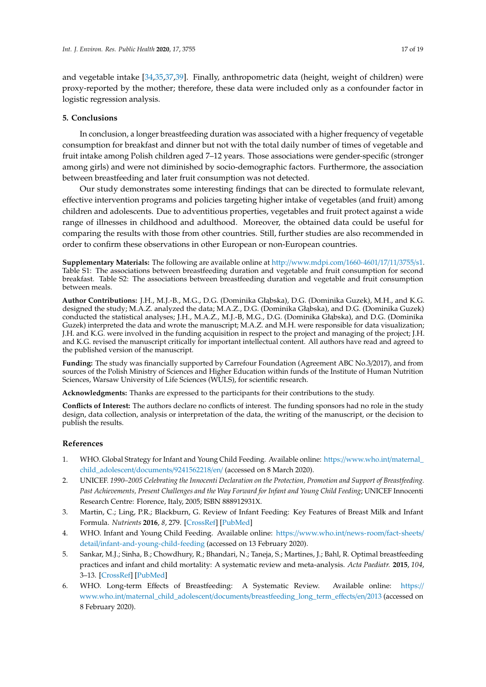and vegetable intake [\[34](#page-18-6)[,35](#page-18-7)[,37](#page-18-9)[,39\]](#page-18-11). Finally, anthropometric data (height, weight of children) were proxy-reported by the mother; therefore, these data were included only as a confounder factor in logistic regression analysis.

#### **5. Conclusions**

In conclusion, a longer breastfeeding duration was associated with a higher frequency of vegetable consumption for breakfast and dinner but not with the total daily number of times of vegetable and fruit intake among Polish children aged 7–12 years. Those associations were gender-specific (stronger among girls) and were not diminished by socio-demographic factors. Furthermore, the association between breastfeeding and later fruit consumption was not detected.

Our study demonstrates some interesting findings that can be directed to formulate relevant, effective intervention programs and policies targeting higher intake of vegetables (and fruit) among children and adolescents. Due to adventitious properties, vegetables and fruit protect against a wide range of illnesses in childhood and adulthood. Moreover, the obtained data could be useful for comparing the results with those from other countries. Still, further studies are also recommended in order to confirm these observations in other European or non-European countries.

**Supplementary Materials:** The following are available online at http://[www.mdpi.com](http://www.mdpi.com/1660-4601/17/11/3755/s1)/1660-4601/17/11/3755/s1. Table S1: The associations between breastfeeding duration and vegetable and fruit consumption for second breakfast. Table S2: The associations between breastfeeding duration and vegetable and fruit consumption between meals.

Author Contributions: J.H., M.J.-B., M.G., D.G. (Dominika Głąbska), D.G. (Dominika Guzek), M.H., and K.G. designed the study; M.A.Z. analyzed the data; M.A.Z., D.G. (Dominika Głąbska), and D.G. (Dominika Guzek) conducted the statistical analyses; J.H., M.A.Z., M.J.-B, M.G., D.G. (Dominika Głąbska), and D.G. (Dominika Guzek) interpreted the data and wrote the manuscript; M.A.Z. and M.H. were responsible for data visualization; J.H. and K.G. were involved in the funding acquisition in respect to the project and managing of the project; J.H. and K.G. revised the manuscript critically for important intellectual content. All authors have read and agreed to the published version of the manuscript.

**Funding:** The study was financially supported by Carrefour Foundation (Agreement ABC No.3/2017), and from sources of the Polish Ministry of Sciences and Higher Education within funds of the Institute of Human Nutrition Sciences, Warsaw University of Life Sciences (WULS), for scientific research.

**Acknowledgments:** Thanks are expressed to the participants for their contributions to the study.

**Conflicts of Interest:** The authors declare no conflicts of interest. The funding sponsors had no role in the study design, data collection, analysis or interpretation of the data, the writing of the manuscript, or the decision to publish the results.

#### **References**

- <span id="page-16-0"></span>1. WHO. Global Strategy for Infant and Young Child Feeding. Available online: https://[www.who.int](https://www.who.int/maternal_child_adolescent/documents/9241562218/en/)/maternal\_ [child\\_adolescent](https://www.who.int/maternal_child_adolescent/documents/9241562218/en/)/documents/9241562218/en/ (accessed on 8 March 2020).
- <span id="page-16-1"></span>2. UNICEF. *1990–2005 Celebrating the Innocenti Declaration on the Protection, Promotion and Support of Breastfeeding. Past Achievements, Present Challenges and the Way Forward for Infant and Young Child Feeding*; UNICEF Innocenti Research Centre: Florence, Italy, 2005; ISBN 888912931X.
- <span id="page-16-2"></span>3. Martin, C.; Ling, P.R.; Blackburn, G. Review of Infant Feeding: Key Features of Breast Milk and Infant Formula. *Nutrients* **2016**, *8*, 279. [\[CrossRef\]](http://dx.doi.org/10.3390/nu8050279) [\[PubMed\]](http://www.ncbi.nlm.nih.gov/pubmed/27187450)
- <span id="page-16-3"></span>4. WHO. Infant and Young Child Feeding. Available online: https://[www.who.int](https://www.who.int/news-room/fact-sheets/detail/infant-and-young-child-feeding)/news-room/fact-sheets/ detail/[infant-and-young-child-feeding](https://www.who.int/news-room/fact-sheets/detail/infant-and-young-child-feeding) (accessed on 13 February 2020).
- <span id="page-16-4"></span>5. Sankar, M.J.; Sinha, B.; Chowdhury, R.; Bhandari, N.; Taneja, S.; Martines, J.; Bahl, R. Optimal breastfeeding practices and infant and child mortality: A systematic review and meta-analysis. *Acta Paediatr.* **2015**, *104*, 3–13. [\[CrossRef\]](http://dx.doi.org/10.1111/apa.13147) [\[PubMed\]](http://www.ncbi.nlm.nih.gov/pubmed/26249674)
- <span id="page-16-5"></span>6. WHO. Long-term Effects of Breastfeeding: A Systematic Review. Available online: [https:](https://www.who.int/maternal_child_adolescent/documents/breastfeeding_long_term_effects/en/2013)// www.who.int/maternal\_child\_adolescent/documents/[breastfeeding\\_long\\_term\\_e](https://www.who.int/maternal_child_adolescent/documents/breastfeeding_long_term_effects/en/2013)ffects/en/2013 (accessed on 8 February 2020).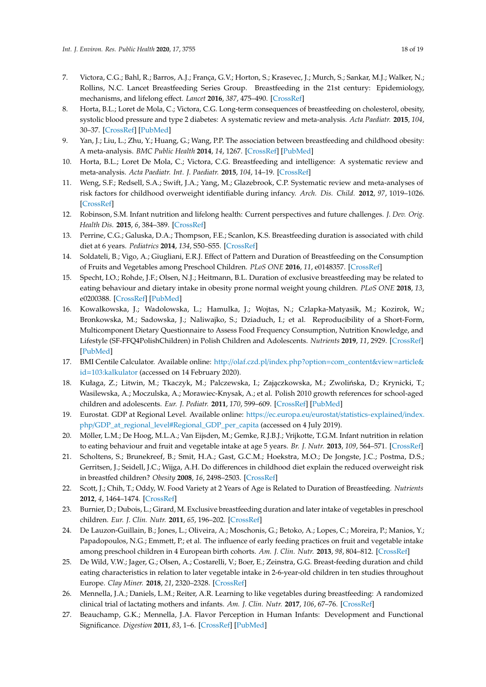- <span id="page-17-0"></span>7. Victora, C.G.; Bahl, R.; Barros, A.J.; França, G.V.; Horton, S.; Krasevec, J.; Murch, S.; Sankar, M.J.; Walker, N.; Rollins, N.C. Lancet Breastfeeding Series Group. Breastfeeding in the 21st century: Epidemiology, mechanisms, and lifelong effect. *Lancet* **2016**, *387*, 475–490. [\[CrossRef\]](http://dx.doi.org/10.1016/S0140-6736(15)01024-7)
- <span id="page-17-1"></span>8. Horta, B.L.; Loret de Mola, C.; Victora, C.G. Long-term consequences of breastfeeding on cholesterol, obesity, systolic blood pressure and type 2 diabetes: A systematic review and meta-analysis. *Acta Paediatr.* **2015**, *104*, 30–37. [\[CrossRef\]](http://dx.doi.org/10.1111/apa.13133) [\[PubMed\]](http://www.ncbi.nlm.nih.gov/pubmed/26192560)
- <span id="page-17-2"></span>9. Yan, J.; Liu, L.; Zhu, Y.; Huang, G.; Wang, P.P. The association between breastfeeding and childhood obesity: A meta-analysis. *BMC Public Health* **2014**, *14*, 1267. [\[CrossRef\]](http://dx.doi.org/10.1186/1471-2458-14-1267) [\[PubMed\]](http://www.ncbi.nlm.nih.gov/pubmed/25495402)
- <span id="page-17-3"></span>10. Horta, B.L.; Loret De Mola, C.; Victora, C.G. Breastfeeding and intelligence: A systematic review and meta-analysis. *Acta Paediatr. Int. J. Paediatr.* **2015**, *104*, 14–19. [\[CrossRef\]](http://dx.doi.org/10.1111/apa.13139)
- <span id="page-17-13"></span><span id="page-17-4"></span>11. Weng, S.F.; Redsell, S.A.; Swift, J.A.; Yang, M.; Glazebrook, C.P. Systematic review and meta-analyses of risk factors for childhood overweight identifiable during infancy. *Arch. Dis. Child.* **2012**, *97*, 1019–1026. [\[CrossRef\]](http://dx.doi.org/10.1136/archdischild-2012-302263)
- <span id="page-17-5"></span>12. Robinson, S.M. Infant nutrition and lifelong health: Current perspectives and future challenges. *J. Dev. Orig. Health Dis.* **2015**, *6*, 384–389. [\[CrossRef\]](http://dx.doi.org/10.1017/S2040174415001257)
- <span id="page-17-6"></span>13. Perrine, C.G.; Galuska, D.A.; Thompson, F.E.; Scanlon, K.S. Breastfeeding duration is associated with child diet at 6 years. *Pediatrics* **2014**, *134*, S50–S55. [\[CrossRef\]](http://dx.doi.org/10.1542/peds.2014-0646I)
- <span id="page-17-7"></span>14. Soldateli, B.; Vigo, A.; Giugliani, E.R.J. Effect of Pattern and Duration of Breastfeeding on the Consumption of Fruits and Vegetables among Preschool Children. *PLoS ONE* **2016**, *11*, e0148357. [\[CrossRef\]](http://dx.doi.org/10.1371/journal.pone.0148357)
- <span id="page-17-8"></span>15. Specht, I.O.; Rohde, J.F.; Olsen, N.J.; Heitmann, B.L. Duration of exclusive breastfeeding may be related to eating behaviour and dietary intake in obesity prone normal weight young children. *PLoS ONE* **2018**, *13*, e0200388. [\[CrossRef\]](http://dx.doi.org/10.1371/journal.pone.0200388) [\[PubMed\]](http://www.ncbi.nlm.nih.gov/pubmed/29995949)
- <span id="page-17-9"></span>16. Kowalkowska, J.; Wadolowska, L.; Hamulka, J.; Wojtas, N.; Czlapka-Matyasik, M.; Kozirok, W.; Bronkowska, M.; Sadowska, J.; Naliwajko, S.; Dziaduch, I.; et al. Reproducibility of a Short-Form, Multicomponent Dietary Questionnaire to Assess Food Frequency Consumption, Nutrition Knowledge, and Lifestyle (SF-FFQ4PolishChildren) in Polish Children and Adolescents. *Nutrients* **2019**, *11*, 2929. [\[CrossRef\]](http://dx.doi.org/10.3390/nu11122929) [\[PubMed\]](http://www.ncbi.nlm.nih.gov/pubmed/31816859)
- <span id="page-17-10"></span>17. BMI Centile Calculator. Available online: http://olaf.czd.pl/index.php?option=[com\\_content&view](http://olaf.czd.pl/index.php?option=com_content&view=article&id=103:kalkulator)=article& id=[103:kalkulator](http://olaf.czd.pl/index.php?option=com_content&view=article&id=103:kalkulator) (accessed on 14 February 2020).
- <span id="page-17-11"></span>18. Kułaga, Z.; Litwin, M.; Tkaczyk, M.; Palczewska, I.; Zajączkowska, M.; Zwolińska, D.; Krynicki, T.; Wasilewska, A.; Moczulska, A.; Morawiec-Knysak, A.; et al. Polish 2010 growth references for school-aged children and adolescents. *Eur. J. Pediatr.* **2011**, *170*, 599–609. [\[CrossRef\]](http://dx.doi.org/10.1007/s00431-010-1329-x) [\[PubMed\]](http://www.ncbi.nlm.nih.gov/pubmed/20972688)
- <span id="page-17-12"></span>19. Eurostat. GDP at Regional Level. Available online: https://ec.europa.eu/eurostat/[statistics-explained](https://ec.europa.eu/eurostat/statistics-explained/index.php/GDP_at_regional_level#Regional_GDP_per_capita)/index. php/[GDP\\_at\\_regional\\_level#Regional\\_GDP\\_per\\_capita](https://ec.europa.eu/eurostat/statistics-explained/index.php/GDP_at_regional_level#Regional_GDP_per_capita) (accessed on 4 July 2019).
- <span id="page-17-14"></span>20. Möller, L.M.; De Hoog, M.L.A.; Van Eijsden, M.; Gemke, R.J.B.J.; Vrijkotte, T.G.M. Infant nutrition in relation to eating behaviour and fruit and vegetable intake at age 5 years. *Br. J. Nutr.* **2013**, *109*, 564–571. [\[CrossRef\]](http://dx.doi.org/10.1017/S0007114512001237)
- <span id="page-17-15"></span>21. Scholtens, S.; Brunekreef, B.; Smit, H.A.; Gast, G.C.M.; Hoekstra, M.O.; De Jongste, J.C.; Postma, D.S.; Gerritsen, J.; Seidell, J.C.; Wijga, A.H. Do differences in childhood diet explain the reduced overweight risk in breastfed children? *Obesity* **2008**, *16*, 2498–2503. [\[CrossRef\]](http://dx.doi.org/10.1038/oby.2008.403)
- <span id="page-17-16"></span>22. Scott, J.; Chih, T.; Oddy, W. Food Variety at 2 Years of Age is Related to Duration of Breastfeeding. *Nutrients* **2012**, *4*, 1464–1474. [\[CrossRef\]](http://dx.doi.org/10.3390/nu4101464)
- <span id="page-17-17"></span>23. Burnier, D.; Dubois, L.; Girard, M. Exclusive breastfeeding duration and later intake of vegetables in preschool children. *Eur. J. Clin. Nutr.* **2011**, *65*, 196–202. [\[CrossRef\]](http://dx.doi.org/10.1038/ejcn.2010.238)
- <span id="page-17-18"></span>24. De Lauzon-Guillain, B.; Jones, L.; Oliveira, A.; Moschonis, G.; Betoko, A.; Lopes, C.; Moreira, P.; Manios, Y.; Papadopoulos, N.G.; Emmett, P.; et al. The influence of early feeding practices on fruit and vegetable intake among preschool children in 4 European birth cohorts. *Am. J. Clin. Nutr.* **2013**, *98*, 804–812. [\[CrossRef\]](http://dx.doi.org/10.3945/ajcn.112.057026)
- <span id="page-17-19"></span>25. De Wild, V.W.; Jager, G.; Olsen, A.; Costarelli, V.; Boer, E.; Zeinstra, G.G. Breast-feeding duration and child eating characteristics in relation to later vegetable intake in 2-6-year-old children in ten studies throughout Europe. *Clay Miner.* **2018**, *21*, 2320–2328. [\[CrossRef\]](http://dx.doi.org/10.1017/S1368980018000769)
- <span id="page-17-20"></span>26. Mennella, J.A.; Daniels, L.M.; Reiter, A.R. Learning to like vegetables during breastfeeding: A randomized clinical trial of lactating mothers and infants. *Am. J. Clin. Nutr.* **2017**, *106*, 67–76. [\[CrossRef\]](http://dx.doi.org/10.3945/ajcn.116.143982)
- <span id="page-17-21"></span>27. Beauchamp, G.K.; Mennella, J.A. Flavor Perception in Human Infants: Development and Functional Significance. *Digestion* **2011**, *83*, 1–6. [\[CrossRef\]](http://dx.doi.org/10.1159/000323397) [\[PubMed\]](http://www.ncbi.nlm.nih.gov/pubmed/21389721)